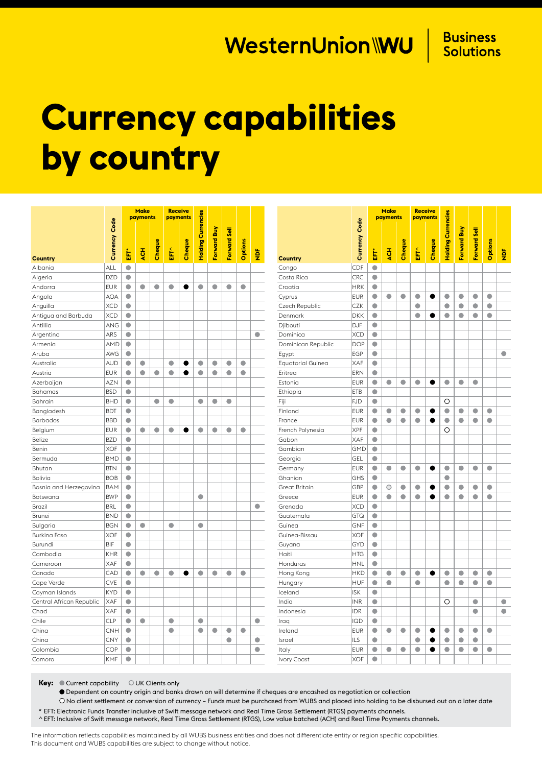## WesternUnion\\\U |

**Business Solutions** 

## **Currency capabilities by country**

|                          |                      | <b>Make</b><br>payments |           |           | <b>Receive</b><br>payments |        |                           |             |              |           |               |                          |                  |            | <b>Make</b><br>payments |           | <b>Receive</b><br>payments |        |                           |             |              |           |               |
|--------------------------|----------------------|-------------------------|-----------|-----------|----------------------------|--------|---------------------------|-------------|--------------|-----------|---------------|--------------------------|------------------|------------|-------------------------|-----------|----------------------------|--------|---------------------------|-------------|--------------|-----------|---------------|
| <b>Country</b>           | <b>Currency Code</b> | 톱                       | 푽         | Cheque    | È                          | Cheque | <b>Holding Currencies</b> | Forward Buy | Forward Sell | Options   | $\frac{b}{2}$ | <b>Country</b>           | Code<br>Currency | È          | <b>JON</b>              | Cheque    | È                          | Cheque | <b>Holding Currencies</b> | Forward Buy | Forward Sell | Options   | $\frac{1}{2}$ |
| Albania                  | ALL                  | $\bullet$               |           |           |                            |        |                           |             |              |           |               | Congo                    | CDF              | $\bullet$  |                         |           |                            |        |                           |             |              |           |               |
| Algeria                  | <b>DZD</b>           | $\bullet$               |           |           |                            |        |                           |             |              |           |               | Costa Rica               | <b>CRC</b>       | $\bullet$  |                         |           |                            |        |                           |             |              |           |               |
| Andorra                  | <b>EUR</b>           | $\bullet$               | $\bullet$ | $\bullet$ | $\bullet$                  |        | $\bullet$                 | $\bullet$   | $\bullet$    | $\bullet$ |               | Croatia                  | <b>HRK</b>       | $\bullet$  |                         |           |                            |        |                           |             |              |           |               |
| Angola                   | <b>AOA</b>           | $\bullet$               |           |           |                            |        |                           |             |              |           |               | Cyprus                   | <b>EUR</b>       | $\bullet$  | $\bullet$               | $\bullet$ | $\bullet$                  |        | $\bullet$                 | ٠           | $\bullet$    | $\bullet$ |               |
| Anguilla                 | <b>XCD</b>           | $\bullet$               |           |           |                            |        |                           |             |              |           |               | Czech Republic           | CZK              | $\bullet$  |                         |           | $\bullet$                  |        | $\bullet$                 | $\bullet$   | $\bullet$    | $\bullet$ |               |
| Antigua and Barbuda      | <b>XCD</b>           | $\bullet$               |           |           |                            |        |                           |             |              |           |               | Denmark                  | <b>DKK</b>       | $\bullet$  |                         |           | $\bullet$                  |        | $\bullet$                 | $\bullet$   | $\bullet$    | $\bullet$ |               |
| Antillia                 | ANG                  | $\bullet$               |           |           |                            |        |                           |             |              |           |               | Djibouti                 | <b>DJF</b>       | $\bullet$  |                         |           |                            |        |                           |             |              |           |               |
| Argentina                | ARS                  | $\bullet$               |           |           |                            |        |                           |             |              |           | $\bullet$     | Dominica                 | <b>XCD</b>       | $\bullet$  |                         |           |                            |        |                           |             |              |           |               |
| Armenia                  | <b>AMD</b>           | $\bullet$               |           |           |                            |        |                           |             |              |           |               | Dominican Republic       | <b>DOP</b>       | $\bullet$  |                         |           |                            |        |                           |             |              |           |               |
| Aruba                    | AWG                  | $\bullet$               |           |           |                            |        |                           |             |              |           |               | Egypt                    | <b>EGP</b>       | $\bullet$  |                         |           |                            |        |                           |             |              |           | $\bullet$     |
| Australia                | <b>AUD</b>           | $\bullet$               | $\bullet$ |           | $\bullet$                  |        | $\bullet$                 | $\bullet$   | $\bullet$    | $\bullet$ |               | <b>Equatorial Guinea</b> | <b>XAF</b>       | $\bullet$  |                         |           |                            |        |                           |             |              |           |               |
| Austria                  | <b>EUR</b>           | $\bullet$               | $\bullet$ | $\bullet$ | $\bullet$                  | e      | $\bullet$                 | $\bullet$   | $\bullet$    | $\bullet$ |               | Eritrea                  | ERN              | $\bullet$  |                         |           |                            |        |                           |             |              |           |               |
| Azerbaijan               | <b>AZN</b>           | $\bullet$               |           |           |                            |        |                           |             |              |           |               | Estonia                  | <b>EUR</b>       | $\bullet$  | $\bullet$               | $\bullet$ | $\bullet$                  |        | $\bullet$                 | $\bullet$   | $\bullet$    |           |               |
| Bahamas                  | <b>BSD</b>           | $\bullet$               |           |           |                            |        |                           |             |              |           |               | Ethiopia                 | ETB              | $\bullet$  |                         |           |                            |        |                           |             |              |           |               |
| Bahrain                  | <b>BHD</b>           | $\bullet$               |           | $\bullet$ | $\bullet$                  |        | $\bullet$                 | $\bullet$   | $\bullet$    |           |               | Fiji                     | <b>FJD</b>       | $\bullet$  |                         |           |                            |        | O                         |             |              |           |               |
| Bangladesh               | <b>BDT</b>           | $\bullet$               |           |           |                            |        |                           |             |              |           |               | Finland                  | <b>EUR</b>       | $\bullet$  | $\bullet$               | $\bullet$ | $\bullet$                  |        | $\bullet$                 | $\bullet$   | $\bullet$    | $\bullet$ |               |
| <b>Barbados</b>          | <b>BBD</b>           | $\bullet$               |           |           |                            |        |                           |             |              |           |               | France                   | <b>EUR</b>       | $\bullet$  | $\bullet$               | $\bullet$ | $\bullet$                  | 0      | $\bullet$                 | $\bullet$   | $\bullet$    | $\bullet$ |               |
| Belgium                  | <b>EUR</b>           | $\bullet$               | $\bullet$ | $\bullet$ | $\bullet$                  | 0      | $\bullet$                 | $\bullet$   | $\bullet$    | $\bullet$ |               | French Polynesia         | <b>XPF</b>       | $\bullet$  |                         |           |                            |        | O                         |             |              |           |               |
| <b>Belize</b>            | <b>BZD</b>           | $\bullet$               |           |           |                            |        |                           |             |              |           |               | Gabon                    | <b>XAF</b>       | $\bullet$  |                         |           |                            |        |                           |             |              |           |               |
| Benin                    | <b>XOF</b>           | $\bullet$               |           |           |                            |        |                           |             |              |           |               | Gambian                  | <b>GMD</b>       | $\bullet$  |                         |           |                            |        |                           |             |              |           |               |
| Bermuda                  | <b>BMD</b>           | $\bullet$               |           |           |                            |        |                           |             |              |           |               | Georgia                  | <b>GEL</b>       | $\bullet$  |                         |           |                            |        |                           |             |              |           |               |
| Bhutan                   | <b>BTN</b>           | $\bullet$               |           |           |                            |        |                           |             |              |           |               | Germany                  | <b>EUR</b>       | $\bullet$  | $\bullet$               | $\bullet$ | $\bullet$                  |        | $\bullet$                 | $\bullet$   | $\bullet$    | $\bullet$ |               |
| Bolivia                  | <b>BOB</b>           | $\bullet$               |           |           |                            |        |                           |             |              |           |               | Ghanian                  | GHS              | $\bullet$  |                         |           |                            |        | $\bullet$                 |             |              |           |               |
| Bosnia and Herzegovina   | <b>BAM</b>           | $\bullet$               |           |           |                            |        |                           |             |              |           |               | <b>Great Britain</b>     | GBP              | $\bullet$  | $\circ$                 | $\bullet$ | $\bullet$                  |        | $\bullet$                 | $\bullet$   | $\bullet$    | $\bullet$ |               |
| Botswana                 | <b>BWP</b>           | $\bullet$               |           |           |                            |        | $\bullet$                 |             |              |           |               | Greece                   | <b>EUR</b>       | $\bullet$  | $\bullet$               | $\bullet$ | $\bullet$                  |        | $\bullet$                 | $\bullet$   | $\bullet$    | $\bullet$ |               |
| <b>Brazil</b>            | <b>BRL</b>           | $\bullet$               |           |           |                            |        |                           |             |              |           | $\bullet$     | Grenada                  | <b>XCD</b>       | $\bullet$  |                         |           |                            |        |                           |             |              |           |               |
| <b>Brunei</b>            | <b>BND</b>           | $\bullet$               |           |           |                            |        |                           |             |              |           |               | Guatemala                | <b>GTQ</b>       | $\bullet$  |                         |           |                            |        |                           |             |              |           |               |
| Bulgaria                 | <b>BGN</b>           | $\bullet$               | $\bullet$ |           | $\bullet$                  |        | $\bullet$                 |             |              |           |               | Guinea                   | <b>GNF</b>       | $\bullet$  |                         |           |                            |        |                           |             |              |           |               |
| Burkina Faso             | <b>XOF</b>           | $\bullet$               |           |           |                            |        |                           |             |              |           |               | Guinea-Bissau            | <b>XOF</b>       | $\bullet$  |                         |           |                            |        |                           |             |              |           |               |
| Burundi                  | <b>BIF</b>           | $\bullet$               |           |           |                            |        |                           |             |              |           |               | Guyana                   | <b>GYD</b>       | $\bullet$  |                         |           |                            |        |                           |             |              |           |               |
| Cambodia                 | KHR                  | $\bullet$               |           |           |                            |        |                           |             |              |           |               | Haiti                    | <b>HTG</b>       | $\bigcirc$ |                         |           |                            |        |                           |             |              |           |               |
| Cameroon                 | XAF                  | $\bullet$               |           |           |                            |        |                           |             |              |           |               | Honduras                 | <b>HNL</b>       | $\bullet$  |                         |           |                            |        |                           |             |              |           |               |
| Canada                   | CAD                  | $\bullet$               | $\bullet$ | $\bullet$ | $\bullet$                  | e      | $\bullet$                 | $\bullet$   | $\bullet$    | $\bullet$ |               | Hong Kong                | <b>HKD</b>       | $\bullet$  | $\bullet$               | $\bullet$ | $\bullet$                  | e      | $\bullet$                 | $\bullet$   | $\bullet$    | $\bullet$ |               |
| Cape Verde               | <b>CVE</b>           | $\bullet$               |           |           |                            |        |                           |             |              |           |               | Hungary                  | <b>HUF</b>       | $\bullet$  | $\bullet$               |           | $\bullet$                  |        | $\bullet$                 | $\bullet$   | $\bullet$    | $\bullet$ |               |
| Cayman Islands           | <b>KYD</b>           | $\bullet$               |           |           |                            |        |                           |             |              |           |               | Iceland                  | <b>ISK</b>       | $\bullet$  |                         |           |                            |        |                           |             |              |           |               |
| Central African Republic | XAF                  | $\bullet$               |           |           |                            |        |                           |             |              |           |               | India                    | <b>INR</b>       | $\bullet$  |                         |           |                            |        | O                         |             | $\bullet$    |           | $\bullet$     |
| Chad                     | XAF                  | $\bullet$               |           |           |                            |        |                           |             |              |           |               | Indonesia                | <b>IDR</b>       | $\bullet$  |                         |           |                            |        |                           |             | $\bullet$    |           | $\bullet$     |
| Chile                    | <b>CLP</b>           | $\bullet$               | $\bullet$ |           | $\bullet$                  |        | $\bullet$                 |             |              |           | $\bullet$     | Iraq                     | <b>IQD</b>       | $\bullet$  |                         |           |                            |        |                           |             |              |           |               |
| China                    | CNH                  | $\bullet$               |           |           | $\bullet$                  |        | $\bullet$                 | $\bullet$   | $\bullet$    | $\bullet$ |               | Ireland                  | <b>EUR</b>       | $\bullet$  | $\bullet$               | 0         | ٠                          | e      | $\bullet$                 | ۰           | $\bullet$    | $\bullet$ |               |
| China                    | <b>CNY</b>           | $\bullet$               |           |           |                            |        |                           |             | $\bullet$    |           | $\bullet$     | Israel                   | <b>ILS</b>       | $\bullet$  |                         |           | $\bullet$                  | Œ      | $\bullet$                 | $\bullet$   | $\bullet$    |           |               |
| Colombia                 | COP                  | $\bullet$               |           |           |                            |        |                           |             |              |           | $\bullet$     | Italy                    | <b>EUR</b>       | $\bullet$  | $\bullet$               | $\bullet$ | $\bullet$                  | ●      | $\bullet$                 | $\bullet$   | $\bullet$    | $\bullet$ |               |
| Comoro                   | <b>KMF</b>           | $\bullet$               |           |           |                            |        |                           |             |              |           |               | <b>Ivory Coast</b>       | <b>XOF</b>       | $\bullet$  |                         |           |                            |        |                           |             |              |           |               |

**Key:** Current capability OUK Clients only

Dependent on country origin and banks drawn on will determine if cheques are encashed as negotiation or collection

 No client settlement or conversion of currency – Funds must be purchased from WUBS and placed into holding to be disbursed out on a later date \* EFT: Electronic Funds Transfer inclusive of Swift message network and Real Time Gross Settlement (RTGS) payments channels.

^ EFT: Inclusive of Swift message network, Real Time Gross Settlement (RTGS), Low value batched (ACH) and Real Time Payments channels.

The information reflects capabilities maintained by all WUBS business entities and does not differentiate entity or region specific capabilities. This document and WUBS capabilities are subject to change without notice.